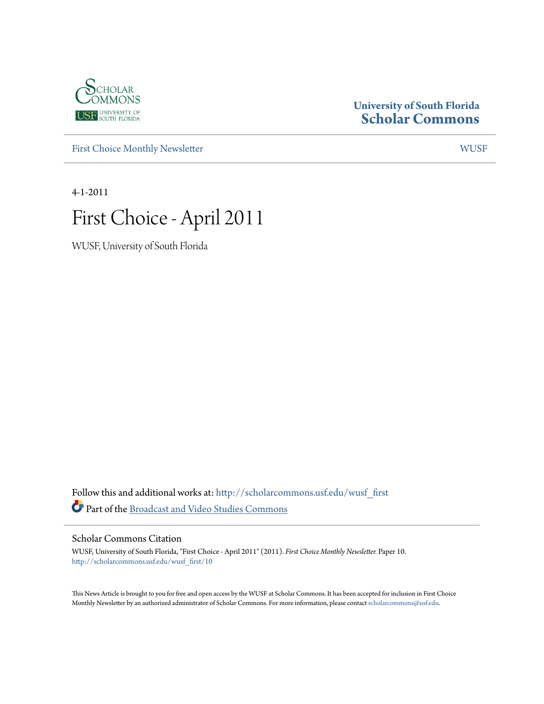

### **University of South Florida [Scholar Commons](http://scholarcommons.usf.edu?utm_source=scholarcommons.usf.edu%2Fwusf_first%2F10&utm_medium=PDF&utm_campaign=PDFCoverPages)**

[First Choice Monthly Newsletter](http://scholarcommons.usf.edu/wusf_first?utm_source=scholarcommons.usf.edu%2Fwusf_first%2F10&utm_medium=PDF&utm_campaign=PDFCoverPages) [WUSF](http://scholarcommons.usf.edu/wusf?utm_source=scholarcommons.usf.edu%2Fwusf_first%2F10&utm_medium=PDF&utm_campaign=PDFCoverPages)

4-1-2011

# First Choice - April 2011

WUSF, University of South Florida

Follow this and additional works at: [http://scholarcommons.usf.edu/wusf\\_first](http://scholarcommons.usf.edu/wusf_first?utm_source=scholarcommons.usf.edu%2Fwusf_first%2F10&utm_medium=PDF&utm_campaign=PDFCoverPages) Part of the [Broadcast and Video Studies Commons](http://network.bepress.com/hgg/discipline/326?utm_source=scholarcommons.usf.edu%2Fwusf_first%2F10&utm_medium=PDF&utm_campaign=PDFCoverPages)

Scholar Commons Citation

WUSF, University of South Florida, "First Choice - April 2011" (2011). *First Choice Monthly Newsletter.* Paper 10. [http://scholarcommons.usf.edu/wusf\\_first/10](http://scholarcommons.usf.edu/wusf_first/10?utm_source=scholarcommons.usf.edu%2Fwusf_first%2F10&utm_medium=PDF&utm_campaign=PDFCoverPages)

This News Article is brought to you for free and open access by the WUSF at Scholar Commons. It has been accepted for inclusion in First Choice Monthly Newsletter by an authorized administrator of Scholar Commons. For more information, please contact [scholarcommons@usf.edu.](mailto:scholarcommons@usf.edu)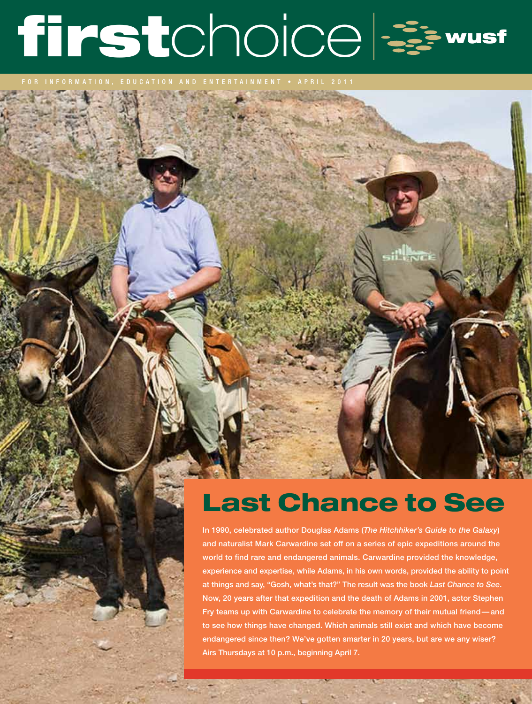# firstchoice === wusf

# Last Chance to See

**INTER** 

In 1990, celebrated author Douglas Adams (*The Hitchhiker's Guide to the Galaxy*) and naturalist Mark Carwardine set off on a series of epic expeditions around the world to find rare and endangered animals. Carwardine provided the knowledge, experience and expertise, while Adams, in his own words, provided the ability to point at things and say, "Gosh, what's that?" The result was the book *Last Chance to See*. Now, 20 years after that expedition and the death of Adams in 2001, actor Stephen Fry teams up with Carwardine to celebrate the memory of their mutual friend—and to see how things have changed. Which animals still exist and which have become endangered since then? We've gotten smarter in 20 years, but are we any wiser? Airs Thursdays at 10 p.m., beginning April 7.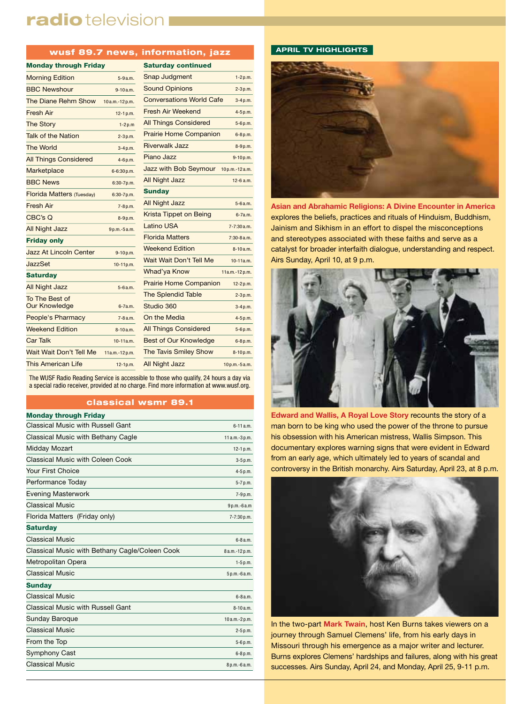## radio television I

#### wusf 89.7 news, information, jazz

| <b>Monday through Friday</b>  |                 | <b>Saturday continued</b>       |               |
|-------------------------------|-----------------|---------------------------------|---------------|
| <b>Morning Edition</b>        | $5 - 9a.m.$     | Snap Judgment                   | $1-2p.m.$     |
| <b>BBC Newshour</b>           | $9 - 10a.m.$    | <b>Sound Opinions</b>           | $2-3p.m.$     |
| The Diane Rehm Show           | 10a.m.-12p.m.   | <b>Conversations World Cafe</b> | $3-4p.m.$     |
| <b>Fresh Air</b>              | $12-1 p.m.$     | Fresh Air Weekend               | 4-5 p.m.      |
| <b>The Story</b>              | $1-2p.m$        | <b>All Things Considered</b>    | 5-6p.m.       |
| <b>Talk of the Nation</b>     | $2 - 3 p.m.$    | <b>Prairie Home Companion</b>   | $6 - 8 p.m.$  |
| <b>The World</b>              | $3-4 p.m.$      | <b>Riverwalk Jazz</b>           | 8-9p.m.       |
| <b>All Things Considered</b>  | $4-6 p.m.$      | Piano Jazz                      | 9-10p.m.      |
| Marketplace                   | $6 - 6:30 p.m.$ | Jazz with Bob Seymour           | 10p.m.-12a.m. |
| <b>BBC News</b>               | $6:30-7p.m.$    | <b>All Night Jazz</b>           | $12 - 6$ a.m. |
| Florida Matters (Tuesday)     | 6:30-7p.m.      | <b>Sunday</b>                   |               |
| <b>Fresh Air</b>              | $7-8 p.m.$      | <b>All Night Jazz</b>           | 5-6 a.m.      |
| CBC's Q                       | $8 - 9 p.m.$    | Krista Tippet on Being          | 6-7a.m.       |
| <b>All Night Jazz</b>         | 9p.m.-5a.m.     | Latino USA                      | 7-7:30 a.m.   |
| <b>Friday only</b>            |                 | <b>Florida Matters</b>          | 7:30-8 a.m.   |
| <b>Jazz At Lincoln Center</b> | $9-10 p.m.$     | <b>Weekend Edition</b>          | $8 - 10a.m.$  |
| JazzSet                       | 10-11p.m.       | Wait Wait Don't Tell Me         | $10-11a.m.$   |
| <b>Saturday</b>               |                 | Whad'ya Know                    | 11a.m.-12p.m. |
| <b>All Night Jazz</b>         | 5-6 a.m.        | <b>Prairie Home Companion</b>   | 12-2 p.m.     |
| To The Best of                |                 | <b>The Splendid Table</b>       | $2-3p.m.$     |
| <b>Our Knowledge</b>          | $6 - 7a.m.$     | Studio 360                      | $3-4p.m.$     |
| People's Pharmacy             | $7 - 8a.m.$     | On the Media                    | 4-5 p.m.      |
| <b>Weekend Edition</b>        | 8-10 a.m.       | <b>All Things Considered</b>    | 5-6p.m.       |
| <b>Car Talk</b>               | $10-11a.m.$     | <b>Best of Our Knowledge</b>    | 6-8 p.m.      |
| Wait Wait Don't Tell Me       | 11a.m.-12p.m.   | <b>The Tavis Smiley Show</b>    | $8 - 10 p.m.$ |
| <b>This American Life</b>     | $12-1p.m.$      | <b>All Night Jazz</b>           | 10p.m.-5a.m.  |

| Snap Judgment                       | $1 - 2 p.m.$    |
|-------------------------------------|-----------------|
| <b>Sound Opinions</b>               | $2 - 3 p.m.$    |
| <b>Conversations World Cafe</b>     | $3-4 p.m.$      |
| <b>Fresh Air Weekend</b>            | 4-5 p.m.        |
| <b>All Things Considered</b>        | 5-6 p.m.        |
| <b>Prairie Home Companion</b>       | 6-8 p.m.        |
| <b>Riverwalk Jazz</b>               | 8-9 p.m.        |
| Piano Jazz                          | 9-10p.m.        |
| Jazz with Bob Seymour 10p.m.-12a.m. |                 |
| <b>All Night Jazz</b>               | 12-6 a.m.       |
| <b>Sunday</b>                       |                 |
| <b>All Night Jazz</b>               | $5 - 6a.m.$     |
| Krista Tippet on Being              | $6-7a.m.$       |
| <b>Latino USA</b>                   | $7 - 7:30$ a.m. |
| <b>Florida Matters</b>              | $7:30-8a.m.$    |
| <b>Weekend Edition</b>              | $8 - 10a.m.$    |
| Wait Wait Don't Tell Me             | $10-11a.m.$     |
| Whad'ya Know                        | 11a.m.-12p.m.   |
| <b>Prairie Home Companion</b>       | $12 - 2 p.m.$   |
| <b>The Splendid Table</b>           | $2 - 3 p.m.$    |
| Studio 360                          | 3-4 p.m.        |
| On the Media                        | 4-5 p.m.        |
| <b>All Things Considered</b>        | 5-6 p.m.        |
| <b>Doot of Our Knowledge</b>        | 0.01            |

The WUSF Radio Reading Service is accessible to those who qualify, 24 hours a day via a special radio receiver, provided at no charge. Find more information at www.wusf.org.

#### classical wsmr 89.1

| <b>Monday through Friday</b>                   |                |
|------------------------------------------------|----------------|
| Classical Music with Russell Gant              | $6 - 11a.m.$   |
| Classical Music with Bethany Cagle             | 11 a.m.-3 p.m. |
| Midday Mozart                                  | $12-1 p.m.$    |
| Classical Music with Coleen Cook               | 3-5 p.m.       |
| Your First Choice                              | 4-5 p.m.       |
| Performance Today                              | 5-7 p.m.       |
| <b>Evening Masterwork</b>                      | 7-9 p.m.       |
| <b>Classical Music</b>                         | $9 p.m.-6 a.m$ |
| Florida Matters (Friday only)                  | 7-7:30 p.m.    |
| <b>Saturday</b>                                |                |
| <b>Classical Music</b>                         | 6-8 a.m.       |
| Classical Music with Bethany Cagle/Coleen Cook | 8 a.m.-12 p.m. |
| Metropolitan Opera                             | $1 - 5 p.m.$   |
| <b>Classical Music</b>                         | 5 p.m.-6 a.m.  |
| <b>Sunday</b>                                  |                |
| <b>Classical Music</b>                         | $6 - 8$ a.m.   |
| Classical Music with Russell Gant              | $8-10a.m.$     |
| Sunday Baroque                                 | 10a.m.-2p.m.   |
| <b>Classical Music</b>                         | 2-5 p.m.       |
| From the Top                                   | 5-6 p.m.       |
| Symphony Cast                                  | 6-8 p.m.       |
| <b>Classical Music</b>                         | 8 p.m.-6 a.m.  |
|                                                |                |

#### **APRIL TV HIGHLIGHTS**



**Asian and Abrahamic Religions: A Divine Encounter in America** explores the beliefs, practices and rituals of Hinduism, Buddhism, Jainism and Sikhism in an effort to dispel the misconceptions and stereotypes associated with these faiths and serve as a catalyst for broader interfaith dialogue, understanding and respect. Airs Sunday, April 10, at 9 p.m.



**Edward and Wallis, A Royal Love Story** recounts the story of a man born to be king who used the power of the throne to pursue his obsession with his American mistress, Wallis Simpson. This documentary explores warning signs that were evident in Edward from an early age, which ultimately led to years of scandal and controversy in the British monarchy. Airs Saturday, April 23, at 8 p.m.



In the two-part **Mark Twain**, host Ken Burns takes viewers on a journey through Samuel Clemens' life, from his early days in Missouri through his emergence as a major writer and lecturer. Burns explores Clemens' hardships and failures, along with his great successes. Airs Sunday, April 24, and Monday, April 25, 9-11 p.m.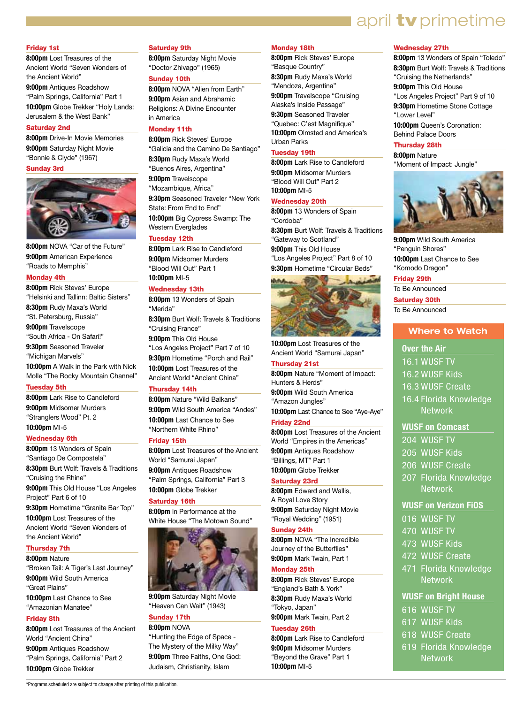## **april tv** primetime

#### Friday 1st

**8:00pm** Lost Treasures of the Ancient World "Seven Wonders of the Ancient World"

**9:00pm** Antiques Roadshow "Palm Springs, California" Part 1

**10:00pm** Globe Trekker "Holy Lands: Jerusalem & the West Bank"

#### Saturday 2nd

**8:00pm** Drive-In Movie Memories **9:00pm** Saturday Night Movie "Bonnie & Clyde" (1967)

#### Sunday 3rd



**8:00pm** NOVA "Car of the Future" **9:00pm** American Experience "Roads to Memphis"

#### Monday 4th

**8:00pm** Rick Steves' Europe "Helsinki and Tallinn: Baltic Sisters" **8:30pm** Rudy Maxa's World "St. Petersburg, Russia" **9:00pm** Travelscope "South Africa - On Safari!" **9:30pm** Seasoned Traveler "Michigan Marvels" **10:00pm** A Walk in the Park with Nick Molle "The Rocky Mountain Channel"

#### Tuesday 5th

**8:00pm** Lark Rise to Candleford **9:00pm** Midsomer Murders "Stranglers Wood" Pt. 2 **10:00pm** MI-5

#### Wednesday 6th

**8:00pm** 13 Wonders of Spain "Santiago De Compostela" **8:30pm** Burt Wolf: Travels & Traditions "Cruising the Rhine" **9:00pm** This Old House "Los Angeles Project" Part 6 of 10 **9:30pm** Hometime "Granite Bar Top" **10:00pm** Lost Treasures of the Ancient World "Seven Wonders of the Ancient World" Thursday 7th

**8:00pm** Nature "Broken Tail: A Tiger's Last Journey" **9:00pm** Wild South America "Great Plains" **10:00pm** Last Chance to See "Amazonian Manatee"

#### Friday 8th

**8:00pm** Lost Treasures of the Ancient World "Ancient China" **9:00pm** Antiques Roadshow "Palm Springs, California" Part 2 **10:00pm** Globe Trekker

#### Saturday 9th

**8:00pm** Saturday Night Movie "Doctor Zhivago" (1965)

#### Sunday 10th

**8:00pm** NOVA "Alien from Earth" **9:00pm** Asian and Abrahamic Religions: A Divine Encounter in America

#### Monday 11th

**8:00pm** Rick Steves' Europe "Galicia and the Camino De Santiago" **8:30pm** Rudy Maxa's World "Buenos Aires, Argentina" **9:00pm** Travelscope "Mozambique, Africa" **9:30pm** Seasoned Traveler "New York State: From End to End" **10:00pm** Big Cypress Swamp: The Western Everglades

#### Tuesday 12th

**8:00pm** Lark Rise to Candleford **9:00pm** Midsomer Murders "Blood Will Out" Part 1 **10:00pm** MI-5

#### Wednesday 13th

**8:00pm** 13 Wonders of Spain "Merida" **8:30pm** Burt Wolf: Travels & Traditions "Cruising France" **9:00pm** This Old House "Los Angeles Project" Part 7 of 10 **9:30pm** Hometime "Porch and Rail" **10:00pm** Lost Treasures of the Ancient World "Ancient China" Thursday 14th

**8:00pm** Nature "Wild Balkans" **9:00pm** Wild South America "Andes" **10:00pm** Last Chance to See "Northern White Rhino"

#### Friday 15th

**8:00pm** Lost Treasures of the Ancient World "Samurai Japan" **9:00pm** Antiques Roadshow "Palm Springs, California" Part 3 **10:00pm** Globe Trekker

#### Saturday 16th

**8:00pm** In Performance at the White House "The Motown Sound"



**9:00pm** Saturday Night Movie "Heaven Can Wait" (1943)

#### Sunday 17th

**8:00pm** NOVA "Hunting the Edge of Space - The Mystery of the Milky Way" **9:00pm** Three Faiths, One God: Judaism, Christianity, Islam

#### Monday 18th

**8:00pm** Rick Steves' Europe "Basque Country" **8:30pm** Rudy Maxa's World "Mendoza, Argentina" **9:00pm** Travelscope "Cruising Alaska's Inside Passage" **9:30pm** Seasoned Traveler "Quebec: C'est Magnifique" **10:00pm** Olmsted and America's Urban Parks

#### Tuesday 19th

**8:00pm** Lark Rise to Candleford **9:00pm** Midsomer Murders "Blood Will Out" Part 2 **10:00pm** MI-5

#### Wednesday 20th

**8:00pm** 13 Wonders of Spain "Cordoba" **8:30pm** Burt Wolf: Travels & Traditions "Gateway to Scotland" **9:00pm** This Old House "Los Angeles Project" Part 8 of 10 **9:30pm** Hometime "Circular Beds"



**10:00pm** Lost Treasures of the Ancient World "Samurai Japan"

#### Thursday 21st

**8:00pm** Nature "Moment of Impact: Hunters & Herds" **9:00pm** Wild South America "Amazon Jungles" **10:00pm** Last Chance to See "Aye-Aye"

#### Friday 22nd

**8:00pm** Lost Treasures of the Ancient World "Empires in the Americas" **9:00pm** Antiques Roadshow "Billings, MT" Part 1 **10:00pm** Globe Trekker

#### Saturday 23rd

**8:00pm** Edward and Wallis, A Royal Love Story **9:00pm** Saturday Night Movie "Royal Wedding" (1951)

#### Sunday 24th

**8:00pm** NOVA "The Incredible Journey of the Butterflies" **9:00pm** Mark Twain, Part 1

#### Monday 25th

**8:00pm** Rick Steves' Europe "England's Bath & York"

**8:30pm** Rudy Maxa's World "Tokyo, Japan" **9:00pm** Mark Twain, Part 2

#### Tuesday 26th

**8:00pm** Lark Rise to Candleford **9:00pm** Midsomer Murders "Beyond the Grave" Part 1 **10:00pm** MI-5

#### Wednesday 27th

**8:00pm** 13 Wonders of Spain "Toledo" **8:30pm** Burt Wolf: Travels & Traditions "Cruising the Netherlands" **9:00pm** This Old House "Los Angeles Project" Part 9 of 10 **9:30pm** Hometime Stone Cottage "Lower Level" **10:00pm** Queen's Coronation: Behind Palace Doors

#### Thursday 28th **8:00pm** Nature

"Moment of Impact: Jungle"



**9:00pm** Wild South America "Penguin Shores" **10:00pm** Last Chance to See "Komodo Dragon"

#### Friday 29th

To Be Announced Saturday 30th To Be Announced

#### **Where to Watch**

**Over the Air**  16.1 WUSF TV 16.2 WUSF Kids 16.3 WUSF Create 16.4 Florida Knowledge **Network WUSF on Comcast** 

- 204 WUSF TV
- 205 WUSF Kids
- 206 WUSF Create
- 207 Florida Knowledge
	- Network

#### **WUSF on Verizon FiOS**

- 016 WUSF TV
- 470 WUSF TV
- 473 WUSF Kids
- 472 WUSF Create
- 471 Florida Knowledge **Network**

#### **WUSF on Bright House**

- 616 WUSF TV
- 617 WUSF Kids
- 618 WUSF Create
- 619 Florida Knowledge **Network**